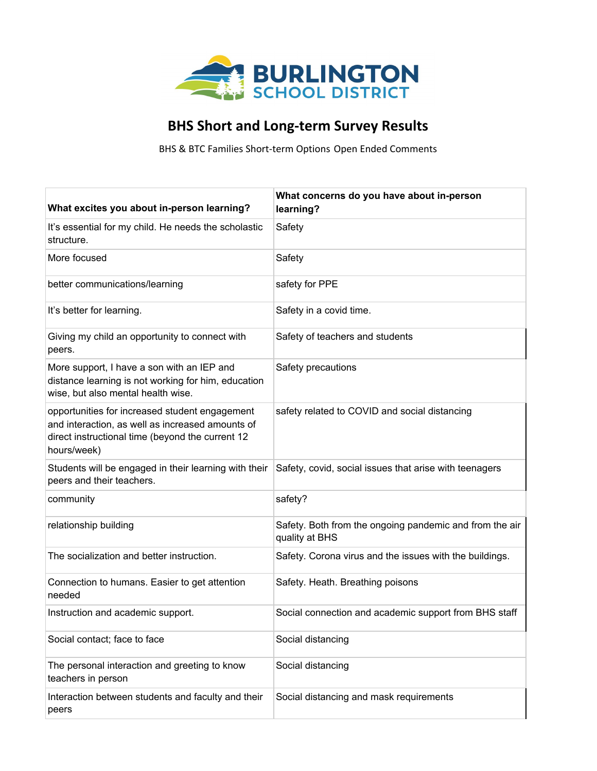

## **BHS Short and Long-term Survey Results**

BHS & BTC Families Short-term Options Open Ended Comments

| What excites you about in-person learning?                                                                                                                            | What concerns do you have about in-person<br>learning?                    |
|-----------------------------------------------------------------------------------------------------------------------------------------------------------------------|---------------------------------------------------------------------------|
| It's essential for my child. He needs the scholastic<br>structure.                                                                                                    | Safety                                                                    |
| More focused                                                                                                                                                          | Safety                                                                    |
| better communications/learning                                                                                                                                        | safety for PPE                                                            |
| It's better for learning.                                                                                                                                             | Safety in a covid time.                                                   |
| Giving my child an opportunity to connect with<br>peers.                                                                                                              | Safety of teachers and students                                           |
| More support, I have a son with an IEP and<br>distance learning is not working for him, education<br>wise, but also mental health wise.                               | Safety precautions                                                        |
| opportunities for increased student engagement<br>and interaction, as well as increased amounts of<br>direct instructional time (beyond the current 12<br>hours/week) | safety related to COVID and social distancing                             |
| Students will be engaged in their learning with their<br>peers and their teachers.                                                                                    | Safety, covid, social issues that arise with teenagers                    |
| community                                                                                                                                                             | safety?                                                                   |
| relationship building                                                                                                                                                 | Safety. Both from the ongoing pandemic and from the air<br>quality at BHS |
| The socialization and better instruction.                                                                                                                             | Safety. Corona virus and the issues with the buildings.                   |
| Connection to humans. Easier to get attention<br>needed                                                                                                               | Safety. Heath. Breathing poisons                                          |
| Instruction and academic support.                                                                                                                                     | Social connection and academic support from BHS staff                     |
| Social contact; face to face                                                                                                                                          | Social distancing                                                         |
| The personal interaction and greeting to know<br>teachers in person                                                                                                   | Social distancing                                                         |
| Interaction between students and faculty and their<br>peers                                                                                                           | Social distancing and mask requirements                                   |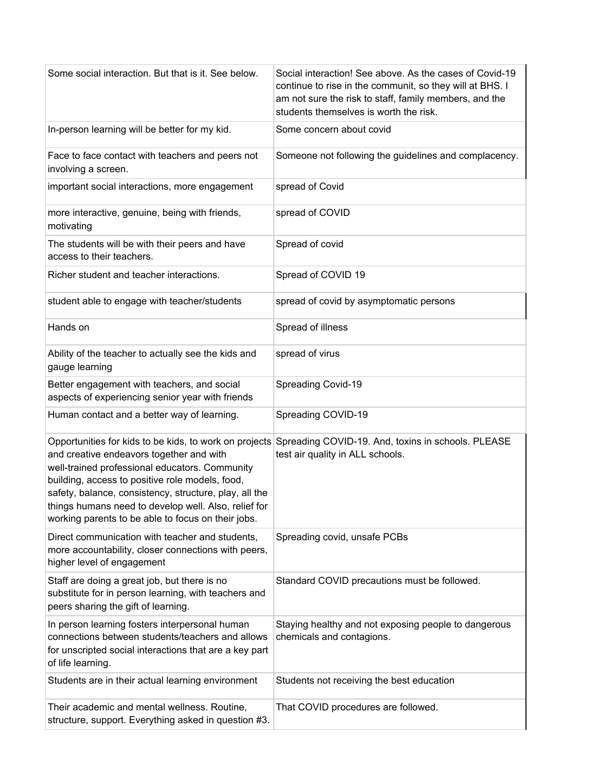| Some social interaction. But that is it. See below.                                                                                                                                                                                                                                                                   | Social interaction! See above. As the cases of Covid-19<br>continue to rise in the communit, so they will at BHS. I<br>am not sure the risk to staff, family members, and the<br>students themselves is worth the risk. |
|-----------------------------------------------------------------------------------------------------------------------------------------------------------------------------------------------------------------------------------------------------------------------------------------------------------------------|-------------------------------------------------------------------------------------------------------------------------------------------------------------------------------------------------------------------------|
| In-person learning will be better for my kid.                                                                                                                                                                                                                                                                         | Some concern about covid                                                                                                                                                                                                |
| Face to face contact with teachers and peers not<br>involving a screen.                                                                                                                                                                                                                                               | Someone not following the guidelines and complacency.                                                                                                                                                                   |
| important social interactions, more engagement                                                                                                                                                                                                                                                                        | spread of Covid                                                                                                                                                                                                         |
| more interactive, genuine, being with friends,<br>motivating                                                                                                                                                                                                                                                          | spread of COVID                                                                                                                                                                                                         |
| The students will be with their peers and have<br>access to their teachers.                                                                                                                                                                                                                                           | Spread of covid                                                                                                                                                                                                         |
| Richer student and teacher interactions.                                                                                                                                                                                                                                                                              | Spread of COVID 19                                                                                                                                                                                                      |
| student able to engage with teacher/students                                                                                                                                                                                                                                                                          | spread of covid by asymptomatic persons                                                                                                                                                                                 |
| Hands on                                                                                                                                                                                                                                                                                                              | Spread of illness                                                                                                                                                                                                       |
| Ability of the teacher to actually see the kids and<br>gauge learning                                                                                                                                                                                                                                                 | spread of virus                                                                                                                                                                                                         |
| Better engagement with teachers, and social<br>aspects of experiencing senior year with friends                                                                                                                                                                                                                       | Spreading Covid-19                                                                                                                                                                                                      |
| Human contact and a better way of learning.                                                                                                                                                                                                                                                                           | Spreading COVID-19                                                                                                                                                                                                      |
| and creative endeavors together and with<br>well-trained professional educators. Community<br>building, access to positive role models, food,<br>safety, balance, consistency, structure, play, all the<br>things humans need to develop well. Also, relief for<br>working parents to be able to focus on their jobs. | Opportunities for kids to be kids, to work on projects Spreading COVID-19. And, toxins in schools. PLEASE<br>test air quality in ALL schools.                                                                           |
| Direct communication with teacher and students,<br>more accountability, closer connections with peers,<br>higher level of engagement                                                                                                                                                                                  | Spreading covid, unsafe PCBs                                                                                                                                                                                            |
| Staff are doing a great job, but there is no<br>substitute for in person learning, with teachers and<br>peers sharing the gift of learning.                                                                                                                                                                           | Standard COVID precautions must be followed.                                                                                                                                                                            |
| In person learning fosters interpersonal human<br>connections between students/teachers and allows<br>for unscripted social interactions that are a key part<br>of life learning.                                                                                                                                     | Staying healthy and not exposing people to dangerous<br>chemicals and contagions.                                                                                                                                       |
| Students are in their actual learning environment                                                                                                                                                                                                                                                                     | Students not receiving the best education                                                                                                                                                                               |
| Their academic and mental wellness. Routine,<br>structure, support. Everything asked in question #3.                                                                                                                                                                                                                  | That COVID procedures are followed.                                                                                                                                                                                     |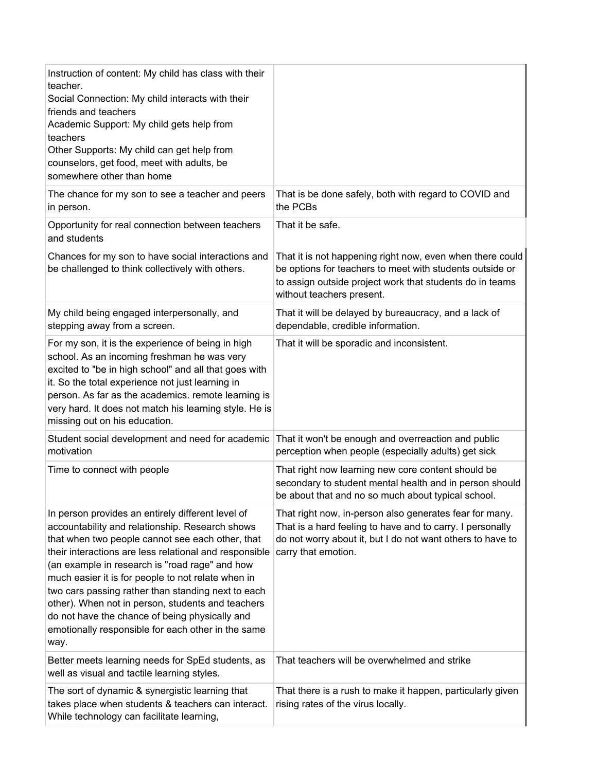| Instruction of content: My child has class with their<br>teacher.<br>Social Connection: My child interacts with their<br>friends and teachers<br>Academic Support: My child gets help from<br>teachers<br>Other Supports: My child can get help from<br>counselors, get food, meet with adults, be<br>somewhere other than home                                                                                                                                                                                                                       |                                                                                                                                                                                                                |
|-------------------------------------------------------------------------------------------------------------------------------------------------------------------------------------------------------------------------------------------------------------------------------------------------------------------------------------------------------------------------------------------------------------------------------------------------------------------------------------------------------------------------------------------------------|----------------------------------------------------------------------------------------------------------------------------------------------------------------------------------------------------------------|
| The chance for my son to see a teacher and peers<br>in person.                                                                                                                                                                                                                                                                                                                                                                                                                                                                                        | That is be done safely, both with regard to COVID and<br>the PCBs                                                                                                                                              |
| Opportunity for real connection between teachers<br>and students                                                                                                                                                                                                                                                                                                                                                                                                                                                                                      | That it be safe.                                                                                                                                                                                               |
| Chances for my son to have social interactions and<br>be challenged to think collectively with others.                                                                                                                                                                                                                                                                                                                                                                                                                                                | That it is not happening right now, even when there could<br>be options for teachers to meet with students outside or<br>to assign outside project work that students do in teams<br>without teachers present. |
| My child being engaged interpersonally, and<br>stepping away from a screen.                                                                                                                                                                                                                                                                                                                                                                                                                                                                           | That it will be delayed by bureaucracy, and a lack of<br>dependable, credible information.                                                                                                                     |
| For my son, it is the experience of being in high<br>school. As an incoming freshman he was very<br>excited to "be in high school" and all that goes with<br>it. So the total experience not just learning in<br>person. As far as the academics. remote learning is<br>very hard. It does not match his learning style. He is<br>missing out on his education.                                                                                                                                                                                       | That it will be sporadic and inconsistent.                                                                                                                                                                     |
| Student social development and need for academic<br>motivation                                                                                                                                                                                                                                                                                                                                                                                                                                                                                        | That it won't be enough and overreaction and public<br>perception when people (especially adults) get sick                                                                                                     |
| Time to connect with people                                                                                                                                                                                                                                                                                                                                                                                                                                                                                                                           | That right now learning new core content should be<br>secondary to student mental health and in person should<br>be about that and no so much about typical school.                                            |
| In person provides an entirely different level of<br>accountability and relationship. Research shows<br>that when two people cannot see each other, that<br>their interactions are less relational and responsible<br>(an example in research is "road rage" and how<br>much easier it is for people to not relate when in<br>two cars passing rather than standing next to each<br>other). When not in person, students and teachers<br>do not have the chance of being physically and<br>emotionally responsible for each other in the same<br>way. | That right now, in-person also generates fear for many.<br>That is a hard feeling to have and to carry. I personally<br>do not worry about it, but I do not want others to have to<br>carry that emotion.      |
| Better meets learning needs for SpEd students, as<br>well as visual and tactile learning styles.                                                                                                                                                                                                                                                                                                                                                                                                                                                      | That teachers will be overwhelmed and strike                                                                                                                                                                   |
| The sort of dynamic & synergistic learning that<br>takes place when students & teachers can interact.<br>While technology can facilitate learning,                                                                                                                                                                                                                                                                                                                                                                                                    | That there is a rush to make it happen, particularly given<br>rising rates of the virus locally.                                                                                                               |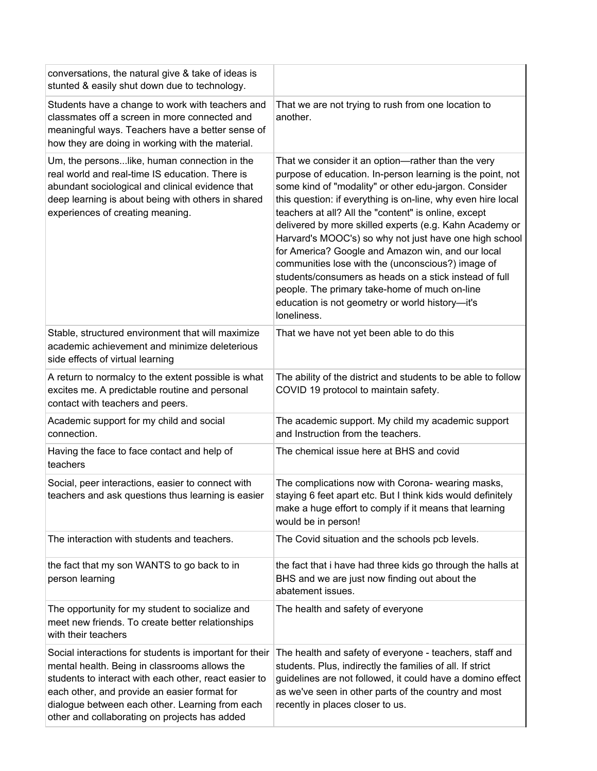| conversations, the natural give & take of ideas is<br>stunted & easily shut down due to technology.                                                                                                                                                                                                                   |                                                                                                                                                                                                                                                                                                                                                                                                                                                                                                                                                                                                                                                                                                               |
|-----------------------------------------------------------------------------------------------------------------------------------------------------------------------------------------------------------------------------------------------------------------------------------------------------------------------|---------------------------------------------------------------------------------------------------------------------------------------------------------------------------------------------------------------------------------------------------------------------------------------------------------------------------------------------------------------------------------------------------------------------------------------------------------------------------------------------------------------------------------------------------------------------------------------------------------------------------------------------------------------------------------------------------------------|
| Students have a change to work with teachers and<br>classmates off a screen in more connected and<br>meaningful ways. Teachers have a better sense of<br>how they are doing in working with the material.                                                                                                             | That we are not trying to rush from one location to<br>another.                                                                                                                                                                                                                                                                                                                                                                                                                                                                                                                                                                                                                                               |
| Um, the persons like, human connection in the<br>real world and real-time IS education. There is<br>abundant sociological and clinical evidence that<br>deep learning is about being with others in shared<br>experiences of creating meaning.                                                                        | That we consider it an option—rather than the very<br>purpose of education. In-person learning is the point, not<br>some kind of "modality" or other edu-jargon. Consider<br>this question: if everything is on-line, why even hire local<br>teachers at all? All the "content" is online, except<br>delivered by more skilled experts (e.g. Kahn Academy or<br>Harvard's MOOC's) so why not just have one high school<br>for America? Google and Amazon win, and our local<br>communities lose with the (unconscious?) image of<br>students/consumers as heads on a stick instead of full<br>people. The primary take-home of much on-line<br>education is not geometry or world history-it's<br>loneliness. |
| Stable, structured environment that will maximize<br>academic achievement and minimize deleterious<br>side effects of virtual learning                                                                                                                                                                                | That we have not yet been able to do this                                                                                                                                                                                                                                                                                                                                                                                                                                                                                                                                                                                                                                                                     |
| A return to normalcy to the extent possible is what<br>excites me. A predictable routine and personal<br>contact with teachers and peers.                                                                                                                                                                             | The ability of the district and students to be able to follow<br>COVID 19 protocol to maintain safety.                                                                                                                                                                                                                                                                                                                                                                                                                                                                                                                                                                                                        |
| Academic support for my child and social<br>connection.                                                                                                                                                                                                                                                               | The academic support. My child my academic support<br>and Instruction from the teachers.                                                                                                                                                                                                                                                                                                                                                                                                                                                                                                                                                                                                                      |
| Having the face to face contact and help of<br>teachers                                                                                                                                                                                                                                                               | The chemical issue here at BHS and covid                                                                                                                                                                                                                                                                                                                                                                                                                                                                                                                                                                                                                                                                      |
| Social, peer interactions, easier to connect with<br>teachers and ask questions thus learning is easier                                                                                                                                                                                                               | The complications now with Corona- wearing masks,<br>staying 6 feet apart etc. But I think kids would definitely<br>make a huge effort to comply if it means that learning<br>would be in person!                                                                                                                                                                                                                                                                                                                                                                                                                                                                                                             |
| The interaction with students and teachers.                                                                                                                                                                                                                                                                           | The Covid situation and the schools pcb levels.                                                                                                                                                                                                                                                                                                                                                                                                                                                                                                                                                                                                                                                               |
| the fact that my son WANTS to go back to in<br>person learning                                                                                                                                                                                                                                                        | the fact that i have had three kids go through the halls at<br>BHS and we are just now finding out about the<br>abatement issues.                                                                                                                                                                                                                                                                                                                                                                                                                                                                                                                                                                             |
| The opportunity for my student to socialize and<br>meet new friends. To create better relationships<br>with their teachers                                                                                                                                                                                            | The health and safety of everyone                                                                                                                                                                                                                                                                                                                                                                                                                                                                                                                                                                                                                                                                             |
| Social interactions for students is important for their<br>mental health. Being in classrooms allows the<br>students to interact with each other, react easier to<br>each other, and provide an easier format for<br>dialogue between each other. Learning from each<br>other and collaborating on projects has added | The health and safety of everyone - teachers, staff and<br>students. Plus, indirectly the families of all. If strict<br>guidelines are not followed, it could have a domino effect<br>as we've seen in other parts of the country and most<br>recently in places closer to us.                                                                                                                                                                                                                                                                                                                                                                                                                                |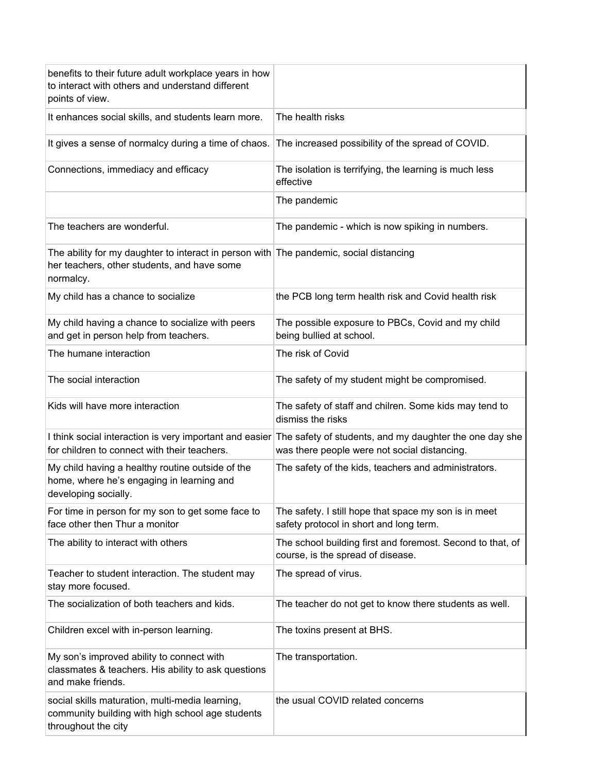| benefits to their future adult workplace years in how<br>to interact with others and understand different<br>points of view.                       |                                                                                                                                                                 |
|----------------------------------------------------------------------------------------------------------------------------------------------------|-----------------------------------------------------------------------------------------------------------------------------------------------------------------|
| It enhances social skills, and students learn more.                                                                                                | The health risks                                                                                                                                                |
| It gives a sense of normalcy during a time of chaos.                                                                                               | The increased possibility of the spread of COVID.                                                                                                               |
| Connections, immediacy and efficacy                                                                                                                | The isolation is terrifying, the learning is much less<br>effective                                                                                             |
|                                                                                                                                                    | The pandemic                                                                                                                                                    |
| The teachers are wonderful.                                                                                                                        | The pandemic - which is now spiking in numbers.                                                                                                                 |
| The ability for my daughter to interact in person with The pandemic, social distancing<br>her teachers, other students, and have some<br>normalcy. |                                                                                                                                                                 |
| My child has a chance to socialize                                                                                                                 | the PCB long term health risk and Covid health risk                                                                                                             |
| My child having a chance to socialize with peers<br>and get in person help from teachers.                                                          | The possible exposure to PBCs, Covid and my child<br>being bullied at school.                                                                                   |
| The humane interaction                                                                                                                             | The risk of Covid                                                                                                                                               |
| The social interaction                                                                                                                             | The safety of my student might be compromised.                                                                                                                  |
| Kids will have more interaction                                                                                                                    | The safety of staff and chilren. Some kids may tend to<br>dismiss the risks                                                                                     |
| for children to connect with their teachers.                                                                                                       | I think social interaction is very important and easier The safety of students, and my daughter the one day she<br>was there people were not social distancing. |
| My child having a healthy routine outside of the<br>home, where he's engaging in learning and<br>developing socially.                              | The safety of the kids, teachers and administrators.                                                                                                            |
| For time in person for my son to get some face to<br>face other then Thur a monitor                                                                | The safety. I still hope that space my son is in meet<br>safety protocol in short and long term.                                                                |
| The ability to interact with others                                                                                                                | The school building first and foremost. Second to that, of<br>course, is the spread of disease.                                                                 |
| Teacher to student interaction. The student may<br>stay more focused.                                                                              | The spread of virus.                                                                                                                                            |
| The socialization of both teachers and kids.                                                                                                       | The teacher do not get to know there students as well.                                                                                                          |
| Children excel with in-person learning.                                                                                                            | The toxins present at BHS.                                                                                                                                      |
| My son's improved ability to connect with<br>classmates & teachers. His ability to ask questions<br>and make friends.                              | The transportation.                                                                                                                                             |
| social skills maturation, multi-media learning,<br>community building with high school age students<br>throughout the city                         | the usual COVID related concerns                                                                                                                                |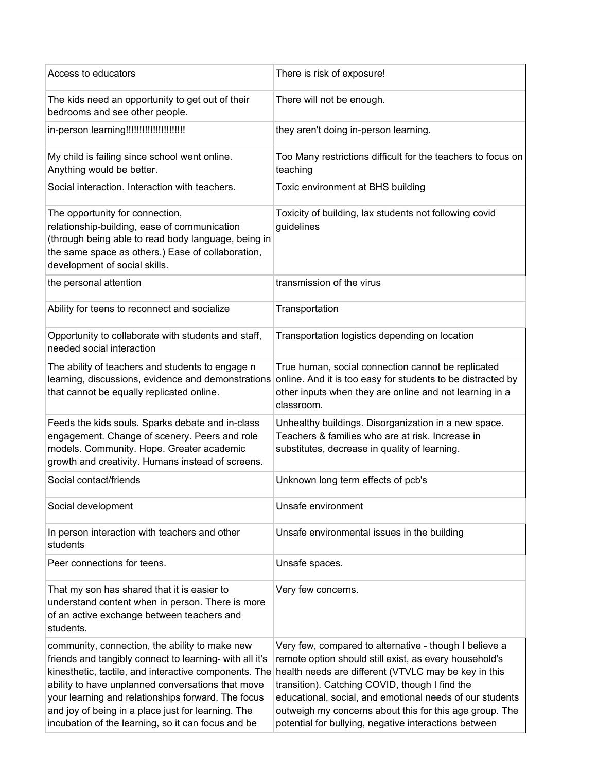| Access to educators                                                                                                                                                                                                                                                                                                                                                                       | There is risk of exposure!                                                                                                                                                                                                                                                                                                                                                                                 |
|-------------------------------------------------------------------------------------------------------------------------------------------------------------------------------------------------------------------------------------------------------------------------------------------------------------------------------------------------------------------------------------------|------------------------------------------------------------------------------------------------------------------------------------------------------------------------------------------------------------------------------------------------------------------------------------------------------------------------------------------------------------------------------------------------------------|
| The kids need an opportunity to get out of their<br>bedrooms and see other people.                                                                                                                                                                                                                                                                                                        | There will not be enough.                                                                                                                                                                                                                                                                                                                                                                                  |
| in-person learning!!!!!!!!!!!!!!!!!!!!!!!!                                                                                                                                                                                                                                                                                                                                                | they aren't doing in-person learning.                                                                                                                                                                                                                                                                                                                                                                      |
| My child is failing since school went online.<br>Anything would be better.                                                                                                                                                                                                                                                                                                                | Too Many restrictions difficult for the teachers to focus on<br>teaching                                                                                                                                                                                                                                                                                                                                   |
| Social interaction. Interaction with teachers.                                                                                                                                                                                                                                                                                                                                            | Toxic environment at BHS building                                                                                                                                                                                                                                                                                                                                                                          |
| The opportunity for connection,<br>relationship-building, ease of communication<br>(through being able to read body language, being in<br>the same space as others.) Ease of collaboration,<br>development of social skills.                                                                                                                                                              | Toxicity of building, lax students not following covid<br>guidelines                                                                                                                                                                                                                                                                                                                                       |
| the personal attention                                                                                                                                                                                                                                                                                                                                                                    | transmission of the virus                                                                                                                                                                                                                                                                                                                                                                                  |
| Ability for teens to reconnect and socialize                                                                                                                                                                                                                                                                                                                                              | Transportation                                                                                                                                                                                                                                                                                                                                                                                             |
| Opportunity to collaborate with students and staff,<br>needed social interaction                                                                                                                                                                                                                                                                                                          | Transportation logistics depending on location                                                                                                                                                                                                                                                                                                                                                             |
| The ability of teachers and students to engage n<br>learning, discussions, evidence and demonstrations<br>that cannot be equally replicated online.                                                                                                                                                                                                                                       | True human, social connection cannot be replicated<br>online. And it is too easy for students to be distracted by<br>other inputs when they are online and not learning in a<br>classroom.                                                                                                                                                                                                                 |
| Feeds the kids souls. Sparks debate and in-class<br>engagement. Change of scenery. Peers and role<br>models. Community. Hope. Greater academic<br>growth and creativity. Humans instead of screens.                                                                                                                                                                                       | Unhealthy buildings. Disorganization in a new space.<br>Teachers & families who are at risk. Increase in<br>substitutes, decrease in quality of learning.                                                                                                                                                                                                                                                  |
| Social contact/friends                                                                                                                                                                                                                                                                                                                                                                    | Unknown long term effects of pcb's                                                                                                                                                                                                                                                                                                                                                                         |
| Social development                                                                                                                                                                                                                                                                                                                                                                        | Unsafe environment                                                                                                                                                                                                                                                                                                                                                                                         |
| In person interaction with teachers and other<br>students                                                                                                                                                                                                                                                                                                                                 | Unsafe environmental issues in the building                                                                                                                                                                                                                                                                                                                                                                |
| Peer connections for teens.                                                                                                                                                                                                                                                                                                                                                               | Unsafe spaces.                                                                                                                                                                                                                                                                                                                                                                                             |
| That my son has shared that it is easier to<br>understand content when in person. There is more<br>of an active exchange between teachers and<br>students.                                                                                                                                                                                                                                | Very few concerns.                                                                                                                                                                                                                                                                                                                                                                                         |
| community, connection, the ability to make new<br>friends and tangibly connect to learning- with all it's<br>kinesthetic, tactile, and interactive components. The<br>ability to have unplanned conversations that move<br>your learning and relationships forward. The focus<br>and joy of being in a place just for learning. The<br>incubation of the learning, so it can focus and be | Very few, compared to alternative - though I believe a<br>remote option should still exist, as every household's<br>health needs are different (VTVLC may be key in this<br>transition). Catching COVID, though I find the<br>educational, social, and emotional needs of our students<br>outweigh my concerns about this for this age group. The<br>potential for bullying, negative interactions between |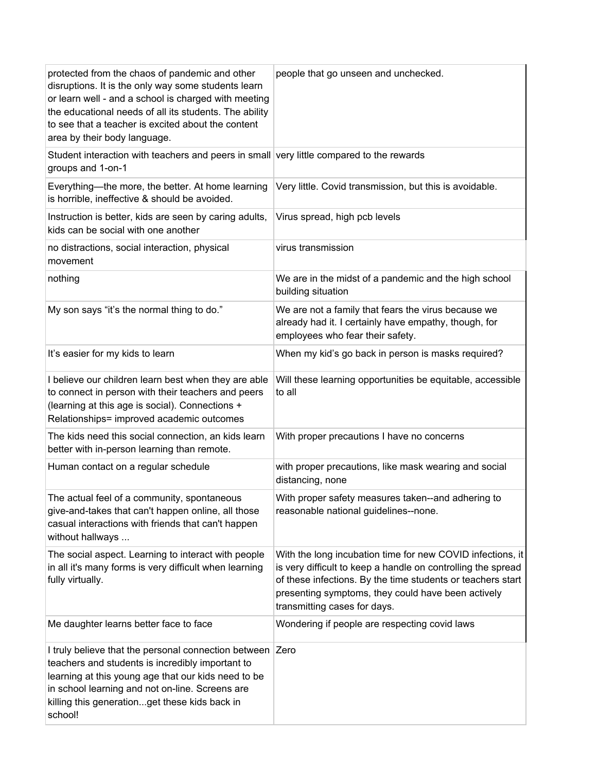| protected from the chaos of pandemic and other<br>disruptions. It is the only way some students learn<br>or learn well - and a school is charged with meeting<br>the educational needs of all its students. The ability<br>to see that a teacher is excited about the content<br>area by their body language. | people that go unseen and unchecked.                                                                                                                                                                                                                                            |
|---------------------------------------------------------------------------------------------------------------------------------------------------------------------------------------------------------------------------------------------------------------------------------------------------------------|---------------------------------------------------------------------------------------------------------------------------------------------------------------------------------------------------------------------------------------------------------------------------------|
| Student interaction with teachers and peers in small very little compared to the rewards<br>groups and 1-on-1                                                                                                                                                                                                 |                                                                                                                                                                                                                                                                                 |
| Everything—the more, the better. At home learning<br>is horrible, ineffective & should be avoided.                                                                                                                                                                                                            | Very little. Covid transmission, but this is avoidable.                                                                                                                                                                                                                         |
| Instruction is better, kids are seen by caring adults,<br>kids can be social with one another                                                                                                                                                                                                                 | Virus spread, high pcb levels                                                                                                                                                                                                                                                   |
| no distractions, social interaction, physical<br>movement                                                                                                                                                                                                                                                     | virus transmission                                                                                                                                                                                                                                                              |
| nothing                                                                                                                                                                                                                                                                                                       | We are in the midst of a pandemic and the high school<br>building situation                                                                                                                                                                                                     |
| My son says "it's the normal thing to do."                                                                                                                                                                                                                                                                    | We are not a family that fears the virus because we<br>already had it. I certainly have empathy, though, for<br>employees who fear their safety.                                                                                                                                |
| It's easier for my kids to learn                                                                                                                                                                                                                                                                              | When my kid's go back in person is masks required?                                                                                                                                                                                                                              |
| I believe our children learn best when they are able<br>to connect in person with their teachers and peers<br>(learning at this age is social). Connections +<br>Relationships= improved academic outcomes                                                                                                    | Will these learning opportunities be equitable, accessible<br>to all                                                                                                                                                                                                            |
| The kids need this social connection, an kids learn<br>better with in-person learning than remote.                                                                                                                                                                                                            | With proper precautions I have no concerns                                                                                                                                                                                                                                      |
| Human contact on a regular schedule                                                                                                                                                                                                                                                                           | with proper precautions, like mask wearing and social<br>distancing, none                                                                                                                                                                                                       |
| The actual feel of a community, spontaneous<br>give-and-takes that can't happen online, all those<br>casual interactions with friends that can't happen<br>without hallways                                                                                                                                   | With proper safety measures taken--and adhering to<br>reasonable national guidelines--none.                                                                                                                                                                                     |
| The social aspect. Learning to interact with people<br>in all it's many forms is very difficult when learning<br>fully virtually.                                                                                                                                                                             | With the long incubation time for new COVID infections, it<br>is very difficult to keep a handle on controlling the spread<br>of these infections. By the time students or teachers start<br>presenting symptoms, they could have been actively<br>transmitting cases for days. |
| Me daughter learns better face to face                                                                                                                                                                                                                                                                        | Wondering if people are respecting covid laws                                                                                                                                                                                                                                   |
| I truly believe that the personal connection between<br>teachers and students is incredibly important to<br>learning at this young age that our kids need to be<br>in school learning and not on-line. Screens are<br>killing this generationget these kids back in<br>school!                                | Zero                                                                                                                                                                                                                                                                            |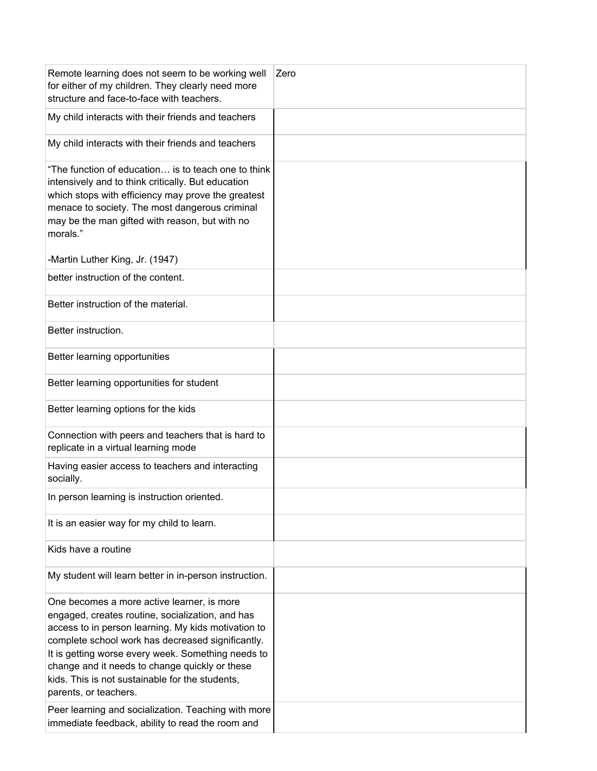| Remote learning does not seem to be working well<br>for either of my children. They clearly need more<br>structure and face-to-face with teachers.                                                                                                                                                                                                                                             | Zero |
|------------------------------------------------------------------------------------------------------------------------------------------------------------------------------------------------------------------------------------------------------------------------------------------------------------------------------------------------------------------------------------------------|------|
| My child interacts with their friends and teachers                                                                                                                                                                                                                                                                                                                                             |      |
| My child interacts with their friends and teachers                                                                                                                                                                                                                                                                                                                                             |      |
| "The function of education is to teach one to think<br>intensively and to think critically. But education<br>which stops with efficiency may prove the greatest<br>menace to society. The most dangerous criminal<br>may be the man gifted with reason, but with no<br>morals."                                                                                                                |      |
| -Martin Luther King, Jr. (1947)                                                                                                                                                                                                                                                                                                                                                                |      |
| better instruction of the content.                                                                                                                                                                                                                                                                                                                                                             |      |
| Better instruction of the material.                                                                                                                                                                                                                                                                                                                                                            |      |
| Better instruction.                                                                                                                                                                                                                                                                                                                                                                            |      |
| Better learning opportunities                                                                                                                                                                                                                                                                                                                                                                  |      |
| Better learning opportunities for student                                                                                                                                                                                                                                                                                                                                                      |      |
| Better learning options for the kids                                                                                                                                                                                                                                                                                                                                                           |      |
| Connection with peers and teachers that is hard to<br>replicate in a virtual learning mode                                                                                                                                                                                                                                                                                                     |      |
| Having easier access to teachers and interacting<br>socially.                                                                                                                                                                                                                                                                                                                                  |      |
| In person learning is instruction oriented.                                                                                                                                                                                                                                                                                                                                                    |      |
| It is an easier way for my child to learn.                                                                                                                                                                                                                                                                                                                                                     |      |
| Kids have a routine                                                                                                                                                                                                                                                                                                                                                                            |      |
| My student will learn better in in-person instruction.                                                                                                                                                                                                                                                                                                                                         |      |
| One becomes a more active learner, is more<br>engaged, creates routine, socialization, and has<br>access to in person learning. My kids motivation to<br>complete school work has decreased significantly.<br>It is getting worse every week. Something needs to<br>change and it needs to change quickly or these<br>kids. This is not sustainable for the students,<br>parents, or teachers. |      |
| Peer learning and socialization. Teaching with more<br>immediate feedback, ability to read the room and                                                                                                                                                                                                                                                                                        |      |